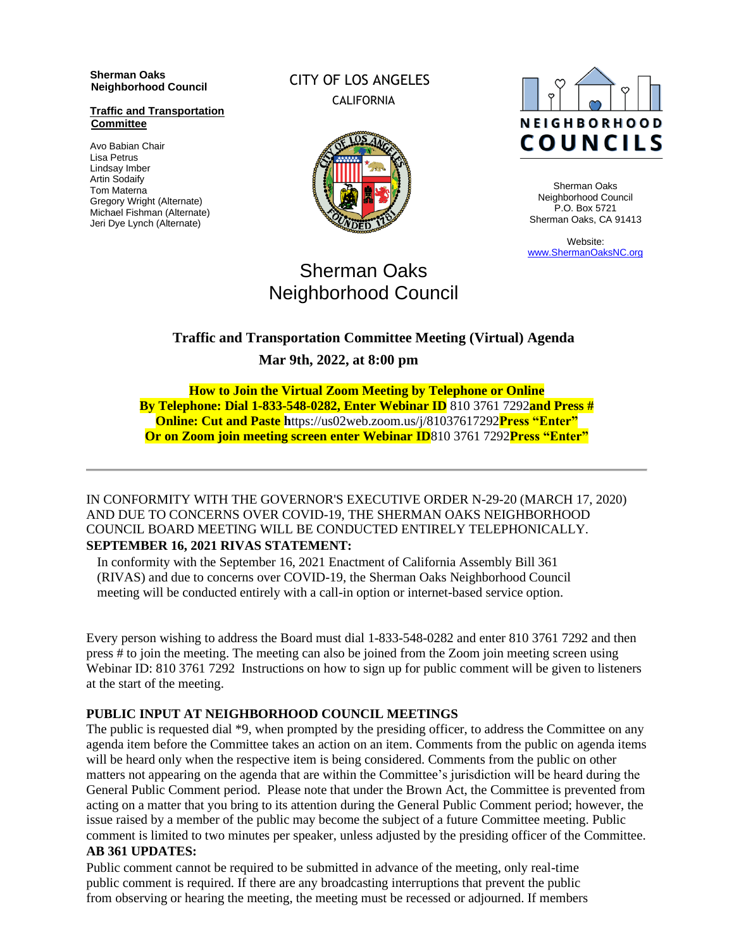#### **Sherman Oaks Neighborhood Council**

#### **Traffic and Transportation Committee**

Avo Babian Chair Lisa Petrus Lindsay Imber Artin Sodaify Tom Materna Gregory Wright (Alternate) Michael Fishman (Alternate) Jeri Dye Lynch (Alternate)

## CITY OF LOS ANGELES **CALIFORNIA**





Sherman Oaks Neighborhood Council P.O. Box 5721 Sherman Oaks, CA 91413

Website: [www.ShermanOaksNC.org](http://www.shermanoaksnc.org/)

# Sherman Oaks Neighborhood Council

## **Traffic and Transportation Committee Meeting (Virtual) Agenda Mar 9th, 2022, at 8:00 pm**

**How to Join the Virtual Zoom Meeting by Telephone or Online By Telephone: Dial 1-833-548-0282, Enter Webinar ID** 810 3761 7292**and Press # Online: Cut and Paste h**ttps://us02web.zoom.us/j/81037617292**Press "Enter" Or on Zoom join meeting screen enter Webinar ID**810 3761 7292**Press "Enter"**

#### IN CONFORMITY WITH THE GOVERNOR'S EXECUTIVE ORDER N-29-20 (MARCH 17, 2020) AND DUE TO CONCERNS OVER COVID-19, THE SHERMAN OAKS NEIGHBORHOOD COUNCIL BOARD MEETING WILL BE CONDUCTED ENTIRELY TELEPHONICALLY. **SEPTEMBER 16, 2021 RIVAS STATEMENT:**

In conformity with the September 16, 2021 Enactment of California Assembly Bill 361 (RIVAS) and due to concerns over COVID-19, the Sherman Oaks Neighborhood Council meeting will be conducted entirely with a call-in option or internet-based service option.

Every person wishing to address the Board must dial 1-833-548-0282 and enter 810 3761 7292 and then press # to join the meeting. The meeting can also be joined from the Zoom join meeting screen using Webinar ID: 810 3761 7292 Instructions on how to sign up for public comment will be given to listeners at the start of the meeting.

#### **PUBLIC INPUT AT NEIGHBORHOOD COUNCIL MEETINGS**

The public is requested dial \*9, when prompted by the presiding officer, to address the Committee on any agenda item before the Committee takes an action on an item. Comments from the public on agenda items will be heard only when the respective item is being considered. Comments from the public on other matters not appearing on the agenda that are within the Committee's jurisdiction will be heard during the General Public Comment period. Please note that under the Brown Act, the Committee is prevented from acting on a matter that you bring to its attention during the General Public Comment period; however, the issue raised by a member of the public may become the subject of a future Committee meeting. Public comment is limited to two minutes per speaker, unless adjusted by the presiding officer of the Committee.

#### **AB 361 UPDATES:**

Public comment cannot be required to be submitted in advance of the meeting, only real-time public comment is required. If there are any broadcasting interruptions that prevent the public from observing or hearing the meeting, the meeting must be recessed or adjourned. If members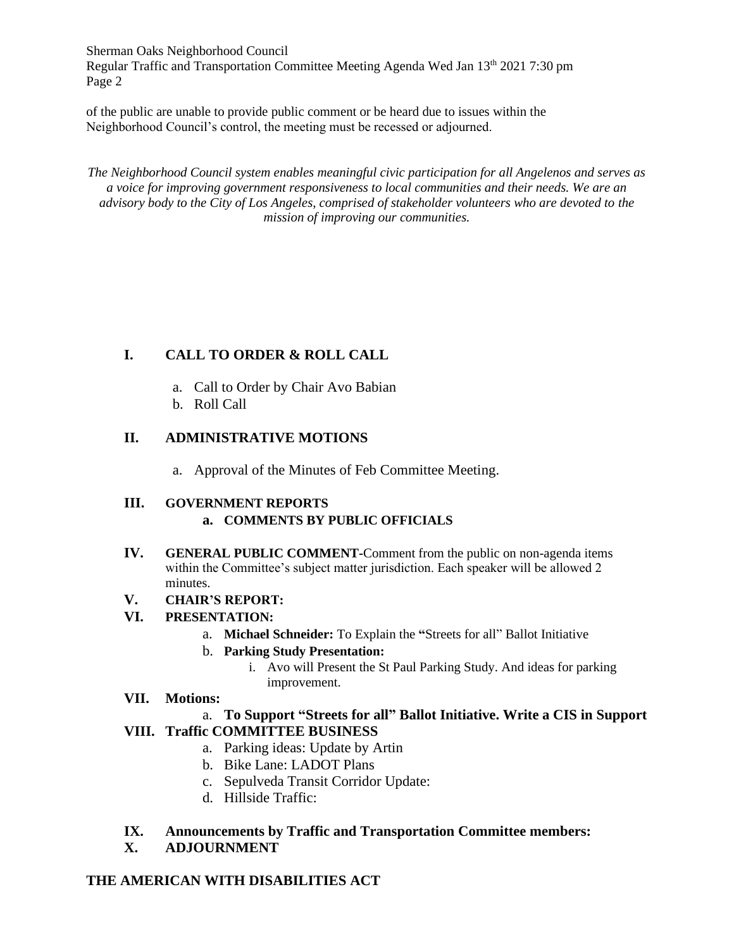Sherman Oaks Neighborhood Council Regular Traffic and Transportation Committee Meeting Agenda Wed Jan 13<sup>th</sup> 2021 7:30 pm Page 2

of the public are unable to provide public comment or be heard due to issues within the Neighborhood Council's control, the meeting must be recessed or adjourned.

*The Neighborhood Council system enables meaningful civic participation for all Angelenos and serves as a voice for improving government responsiveness to local communities and their needs. We are an advisory body to the City of Los Angeles, comprised of stakeholder volunteers who are devoted to the mission of improving our communities.*

## **I. CALL TO ORDER & ROLL CALL**

- a. Call to Order by Chair Avo Babian
- b. Roll Call

## **II. ADMINISTRATIVE MOTIONS**

a. Approval of the Minutes of Feb Committee Meeting.

#### **III. GOVERNMENT REPORTS a. COMMENTS BY PUBLIC OFFICIALS**

**IV. GENERAL PUBLIC COMMENT-**Comment from the public on non-agenda items within the Committee's subject matter jurisdiction. Each speaker will be allowed 2 minutes.

#### **V. CHAIR'S REPORT:**

## **VI. PRESENTATION:**

a. **Michael Schneider:** To Explain the **"**Streets for all" Ballot Initiative

#### b. **Parking Study Presentation:**

i. Avo will Present the St Paul Parking Study. And ideas for parking improvement.

#### **VII. Motions:**

#### a. **To Support "Streets for all" Ballot Initiative. Write a CIS in Support VIII. Traffic COMMITTEE BUSINESS**

- a. Parking ideas: Update by Artin
- b. Bike Lane: LADOT Plans
- c. Sepulveda Transit Corridor Update:
- d. Hillside Traffic:

#### **IX. Announcements by Traffic and Transportation Committee members: X. ADJOURNMENT**

## **THE AMERICAN WITH DISABILITIES ACT**